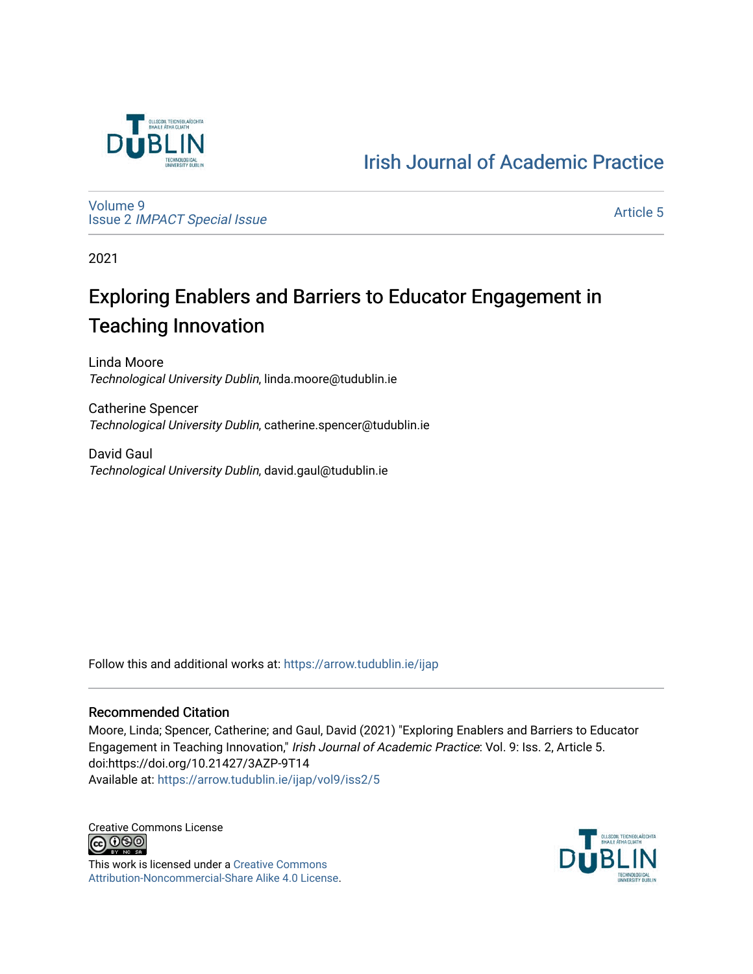

[Irish Journal of Academic Practice](https://arrow.tudublin.ie/ijap) 

[Volume 9](https://arrow.tudublin.ie/ijap/vol9) Issue 2 [IMPACT Special Issue](https://arrow.tudublin.ie/ijap/vol9/iss2) 

[Article 5](https://arrow.tudublin.ie/ijap/vol9/iss2/5) 

2021

# Exploring Enablers and Barriers to Educator Engagement in Teaching Innovation

Linda Moore Technological University Dublin, linda.moore@tudublin.ie

Catherine Spencer Technological University Dublin, catherine.spencer@tudublin.ie

David Gaul Technological University Dublin, david.gaul@tudublin.ie

Follow this and additional works at: [https://arrow.tudublin.ie/ijap](https://arrow.tudublin.ie/ijap?utm_source=arrow.tudublin.ie%2Fijap%2Fvol9%2Fiss2%2F5&utm_medium=PDF&utm_campaign=PDFCoverPages) 

#### Recommended Citation

Moore, Linda; Spencer, Catherine; and Gaul, David (2021) "Exploring Enablers and Barriers to Educator Engagement in Teaching Innovation," Irish Journal of Academic Practice: Vol. 9: Iss. 2, Article 5. doi:https://doi.org/10.21427/3AZP-9T14 Available at: [https://arrow.tudublin.ie/ijap/vol9/iss2/5](https://arrow.tudublin.ie/ijap/vol9/iss2/5?utm_source=arrow.tudublin.ie%2Fijap%2Fvol9%2Fiss2%2F5&utm_medium=PDF&utm_campaign=PDFCoverPages) 

Creative Commons License <u>@ 0® 0</u>

This work is licensed under a [Creative Commons](https://creativecommons.org/licenses/by-nc-sa/4.0/) [Attribution-Noncommercial-Share Alike 4.0 License](https://creativecommons.org/licenses/by-nc-sa/4.0/).

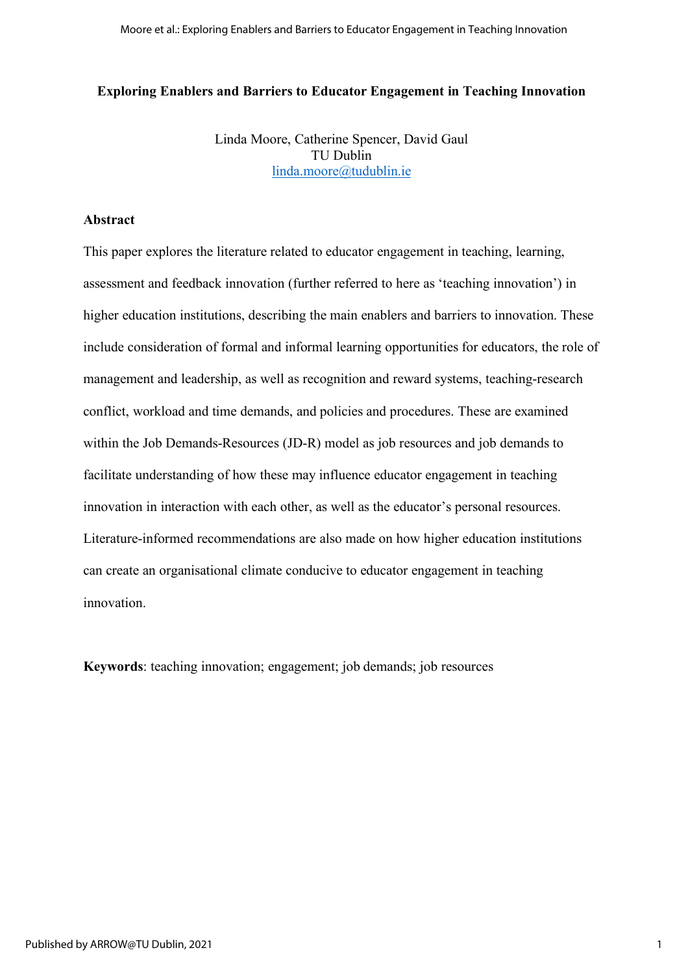#### **Exploring Enablers and Barriers to Educator Engagement in Teaching Innovation**

Linda Moore, Catherine Spencer, David Gaul TU Dublin linda.moore@tudublin.ie

#### **Abstract**

This paper explores the literature related to educator engagement in teaching, learning, assessment and feedback innovation (further referred to here as 'teaching innovation') in higher education institutions, describing the main enablers and barriers to innovation. These include consideration of formal and informal learning opportunities for educators, the role of management and leadership, as well as recognition and reward systems, teaching-research conflict, workload and time demands, and policies and procedures. These are examined within the Job Demands-Resources (JD-R) model as job resources and job demands to facilitate understanding of how these may influence educator engagement in teaching innovation in interaction with each other, as well as the educator's personal resources. Literature-informed recommendations are also made on how higher education institutions can create an organisational climate conducive to educator engagement in teaching innovation.

**Keywords**: teaching innovation; engagement; job demands; job resources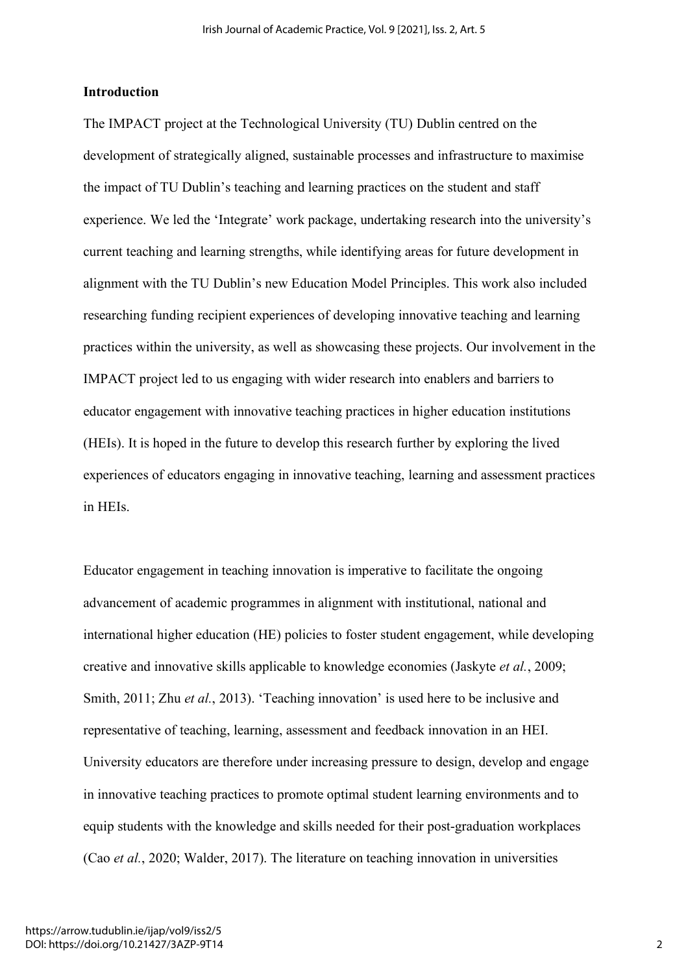#### **Introduction**

The IMPACT project at the Technological University (TU) Dublin centred on the development of strategically aligned, sustainable processes and infrastructure to maximise the impact of TU Dublin's teaching and learning practices on the student and staff experience. We led the 'Integrate' work package, undertaking research into the university's current teaching and learning strengths, while identifying areas for future development in alignment with the TU Dublin's new Education Model Principles. This work also included researching funding recipient experiences of developing innovative teaching and learning practices within the university, as well as showcasing these projects. Our involvement in the IMPACT project led to us engaging with wider research into enablers and barriers to educator engagement with innovative teaching practices in higher education institutions (HEIs). It is hoped in the future to develop this research further by exploring the lived experiences of educators engaging in innovative teaching, learning and assessment practices in HEIs.

Educator engagement in teaching innovation is imperative to facilitate the ongoing advancement of academic programmes in alignment with institutional, national and international higher education (HE) policies to foster student engagement, while developing creative and innovative skills applicable to knowledge economies (Jaskyte *et al.*, 2009; Smith, 2011; Zhu *et al.*, 2013). 'Teaching innovation' is used here to be inclusive and representative of teaching, learning, assessment and feedback innovation in an HEI. University educators are therefore under increasing pressure to design, develop and engage in innovative teaching practices to promote optimal student learning environments and to equip students with the knowledge and skills needed for their post-graduation workplaces (Cao *et al.*, 2020; Walder, 2017). The literature on teaching innovation in universities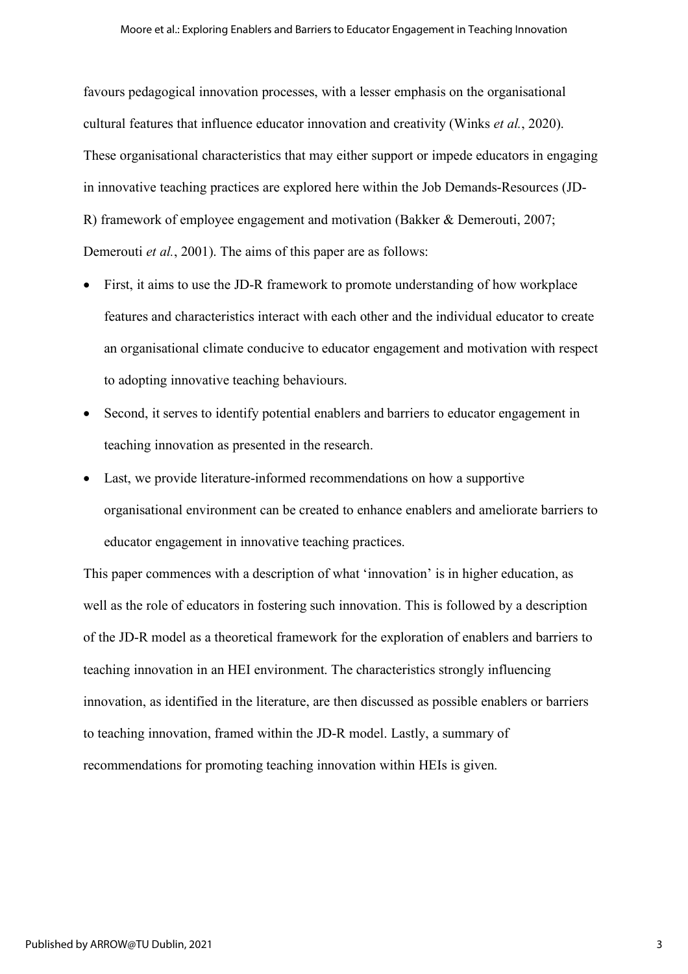favours pedagogical innovation processes, with a lesser emphasis on the organisational cultural features that influence educator innovation and creativity (Winks *et al.*, 2020). These organisational characteristics that may either support or impede educators in engaging in innovative teaching practices are explored here within the Job Demands-Resources (JD-R) framework of employee engagement and motivation (Bakker & Demerouti, 2007; Demerouti *et al.*, 2001). The aims of this paper are as follows:

- First, it aims to use the JD-R framework to promote understanding of how workplace features and characteristics interact with each other and the individual educator to create an organisational climate conducive to educator engagement and motivation with respect to adopting innovative teaching behaviours.
- Second, it serves to identify potential enablers and barriers to educator engagement in teaching innovation as presented in the research.
- Last, we provide literature-informed recommendations on how a supportive organisational environment can be created to enhance enablers and ameliorate barriers to educator engagement in innovative teaching practices.

This paper commences with a description of what 'innovation' is in higher education, as well as the role of educators in fostering such innovation. This is followed by a description of the JD-R model as a theoretical framework for the exploration of enablers and barriers to teaching innovation in an HEI environment. The characteristics strongly influencing innovation, as identified in the literature, are then discussed as possible enablers or barriers to teaching innovation, framed within the JD-R model. Lastly, a summary of recommendations for promoting teaching innovation within HEIs is given.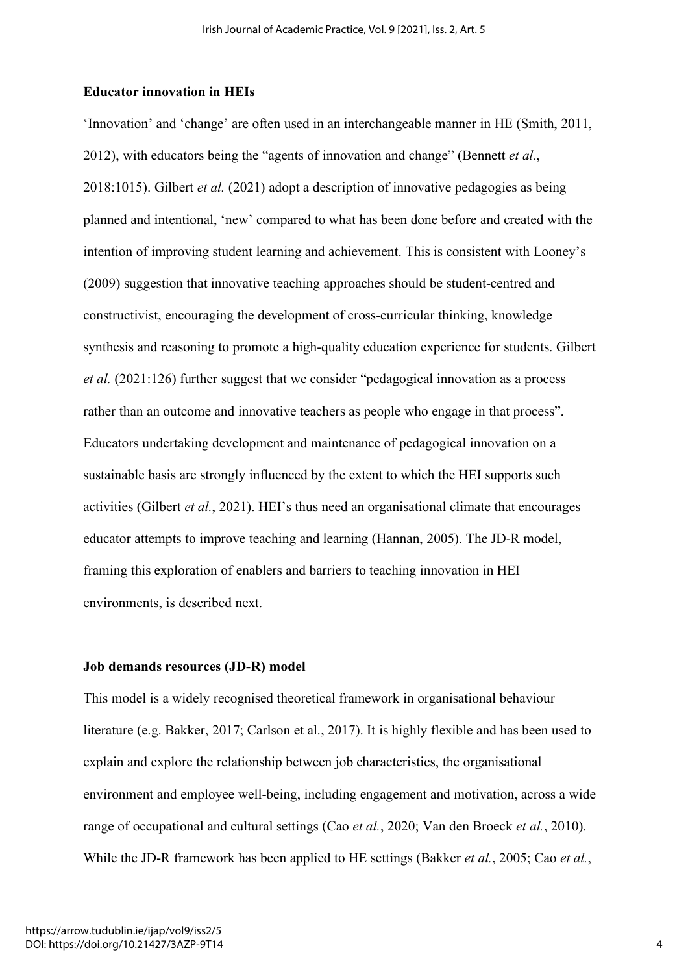#### **Educator innovation in HEIs**

'Innovation' and 'change' are often used in an interchangeable manner in HE (Smith, 2011, 2012), with educators being the "agents of innovation and change" (Bennett *et al.*, 2018:1015). Gilbert *et al.* (2021) adopt a description of innovative pedagogies as being planned and intentional, 'new' compared to what has been done before and created with the intention of improving student learning and achievement. This is consistent with Looney's (2009) suggestion that innovative teaching approaches should be student-centred and constructivist, encouraging the development of cross-curricular thinking, knowledge synthesis and reasoning to promote a high-quality education experience for students. Gilbert *et al.* (2021:126) further suggest that we consider "pedagogical innovation as a process rather than an outcome and innovative teachers as people who engage in that process". Educators undertaking development and maintenance of pedagogical innovation on a sustainable basis are strongly influenced by the extent to which the HEI supports such activities (Gilbert *et al.*, 2021). HEI's thus need an organisational climate that encourages educator attempts to improve teaching and learning (Hannan, 2005). The JD-R model, framing this exploration of enablers and barriers to teaching innovation in HEI environments, is described next.

# **Job demands resources (JD-R) model**

This model is a widely recognised theoretical framework in organisational behaviour literature (e.g. Bakker, 2017; Carlson et al., 2017). It is highly flexible and has been used to explain and explore the relationship between job characteristics, the organisational environment and employee well-being, including engagement and motivation, across a wide range of occupational and cultural settings (Cao *et al.*, 2020; Van den Broeck *et al.*, 2010). While the JD-R framework has been applied to HE settings (Bakker *et al.*, 2005; Cao *et al.*,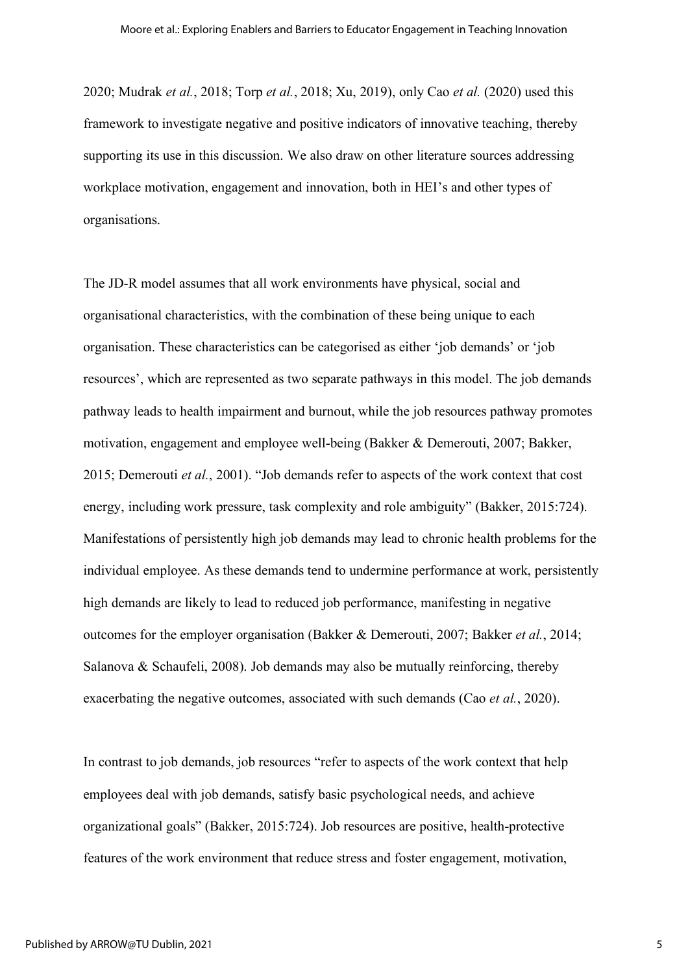2020; Mudrak *et al.*, 2018; Torp *et al.*, 2018; Xu, 2019), only Cao *et al.* (2020) used this framework to investigate negative and positive indicators of innovative teaching, thereby supporting its use in this discussion. We also draw on other literature sources addressing workplace motivation, engagement and innovation, both in HEI's and other types of organisations.

The JD-R model assumes that all work environments have physical, social and organisational characteristics, with the combination of these being unique to each organisation. These characteristics can be categorised as either 'job demands' or 'job resources', which are represented as two separate pathways in this model. The job demands pathway leads to health impairment and burnout, while the job resources pathway promotes motivation, engagement and employee well-being (Bakker & Demerouti, 2007; Bakker, 2015; Demerouti *et al.*, 2001). "Job demands refer to aspects of the work context that cost energy, including work pressure, task complexity and role ambiguity" (Bakker, 2015:724). Manifestations of persistently high job demands may lead to chronic health problems for the individual employee. As these demands tend to undermine performance at work, persistently high demands are likely to lead to reduced job performance, manifesting in negative outcomes for the employer organisation (Bakker & Demerouti, 2007; Bakker *et al.*, 2014; Salanova & Schaufeli, 2008). Job demands may also be mutually reinforcing, thereby exacerbating the negative outcomes, associated with such demands (Cao *et al.*, 2020).

In contrast to job demands, job resources "refer to aspects of the work context that help employees deal with job demands, satisfy basic psychological needs, and achieve organizational goals" (Bakker, 2015:724). Job resources are positive, health-protective features of the work environment that reduce stress and foster engagement, motivation,

5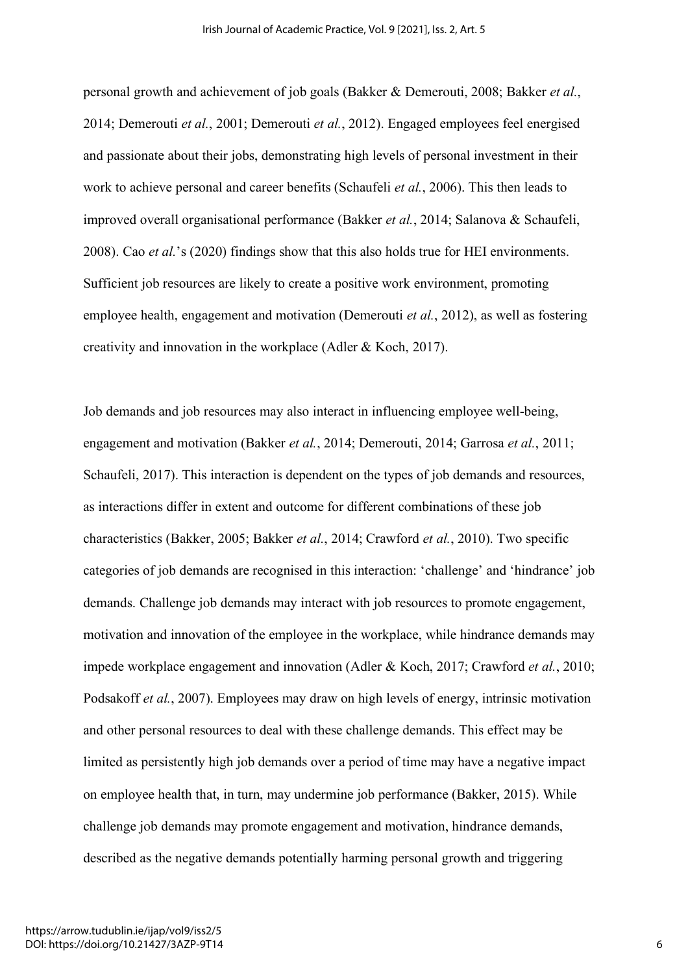personal growth and achievement of job goals (Bakker & Demerouti, 2008; Bakker *et al.*, 2014; Demerouti *et al.*, 2001; Demerouti *et al.*, 2012). Engaged employees feel energised and passionate about their jobs, demonstrating high levels of personal investment in their work to achieve personal and career benefits (Schaufeli *et al.*, 2006). This then leads to improved overall organisational performance (Bakker *et al.*, 2014; Salanova & Schaufeli, 2008). Cao *et al.*'s (2020) findings show that this also holds true for HEI environments. Sufficient job resources are likely to create a positive work environment, promoting employee health, engagement and motivation (Demerouti *et al.*, 2012), as well as fostering creativity and innovation in the workplace (Adler & Koch, 2017).

Job demands and job resources may also interact in influencing employee well-being, engagement and motivation (Bakker *et al.*, 2014; Demerouti, 2014; Garrosa *et al.*, 2011; Schaufeli, 2017). This interaction is dependent on the types of job demands and resources, as interactions differ in extent and outcome for different combinations of these job characteristics (Bakker, 2005; Bakker *et al.*, 2014; Crawford *et al.*, 2010). Two specific categories of job demands are recognised in this interaction: 'challenge' and 'hindrance' job demands. Challenge job demands may interact with job resources to promote engagement, motivation and innovation of the employee in the workplace, while hindrance demands may impede workplace engagement and innovation (Adler & Koch, 2017; Crawford *et al.*, 2010; Podsakoff *et al.*, 2007). Employees may draw on high levels of energy, intrinsic motivation and other personal resources to deal with these challenge demands. This effect may be limited as persistently high job demands over a period of time may have a negative impact on employee health that, in turn, may undermine job performance (Bakker, 2015). While challenge job demands may promote engagement and motivation, hindrance demands, described as the negative demands potentially harming personal growth and triggering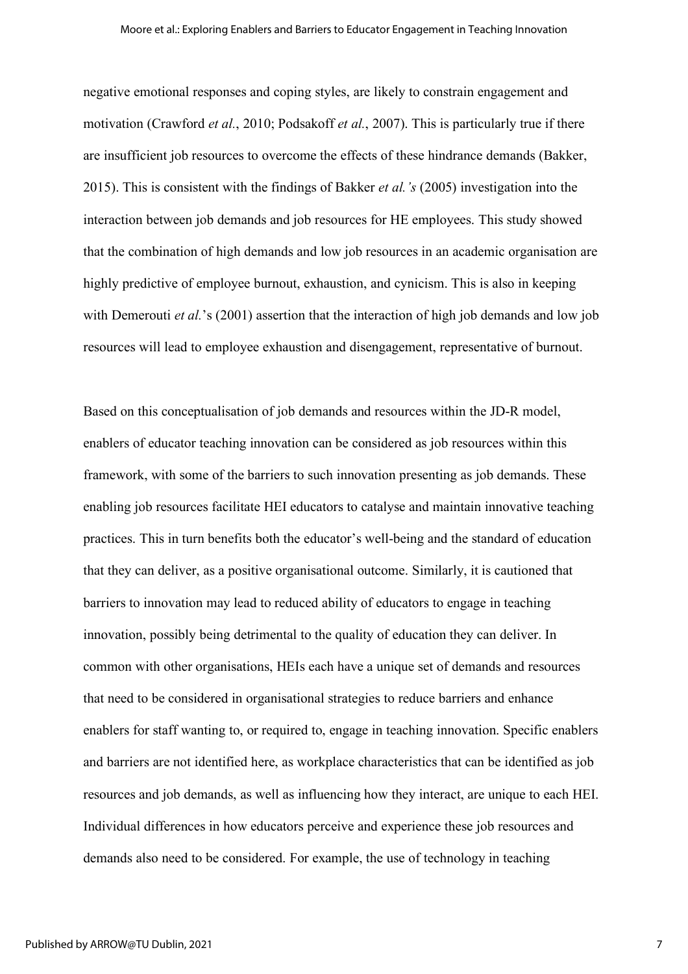negative emotional responses and coping styles, are likely to constrain engagement and motivation (Crawford *et al.*, 2010; Podsakoff *et al.*, 2007). This is particularly true if there are insufficient job resources to overcome the effects of these hindrance demands (Bakker, 2015). This is consistent with the findings of Bakker *et al.'s* (2005) investigation into the interaction between job demands and job resources for HE employees. This study showed that the combination of high demands and low job resources in an academic organisation are highly predictive of employee burnout, exhaustion, and cynicism. This is also in keeping with Demerouti *et al.*'s (2001) assertion that the interaction of high job demands and low job resources will lead to employee exhaustion and disengagement, representative of burnout.

Based on this conceptualisation of job demands and resources within the JD-R model, enablers of educator teaching innovation can be considered as job resources within this framework, with some of the barriers to such innovation presenting as job demands. These enabling job resources facilitate HEI educators to catalyse and maintain innovative teaching practices. This in turn benefits both the educator's well-being and the standard of education that they can deliver, as a positive organisational outcome. Similarly, it is cautioned that barriers to innovation may lead to reduced ability of educators to engage in teaching innovation, possibly being detrimental to the quality of education they can deliver. In common with other organisations, HEIs each have a unique set of demands and resources that need to be considered in organisational strategies to reduce barriers and enhance enablers for staff wanting to, or required to, engage in teaching innovation. Specific enablers and barriers are not identified here, as workplace characteristics that can be identified as job resources and job demands, as well as influencing how they interact, are unique to each HEI. Individual differences in how educators perceive and experience these job resources and demands also need to be considered. For example, the use of technology in teaching

7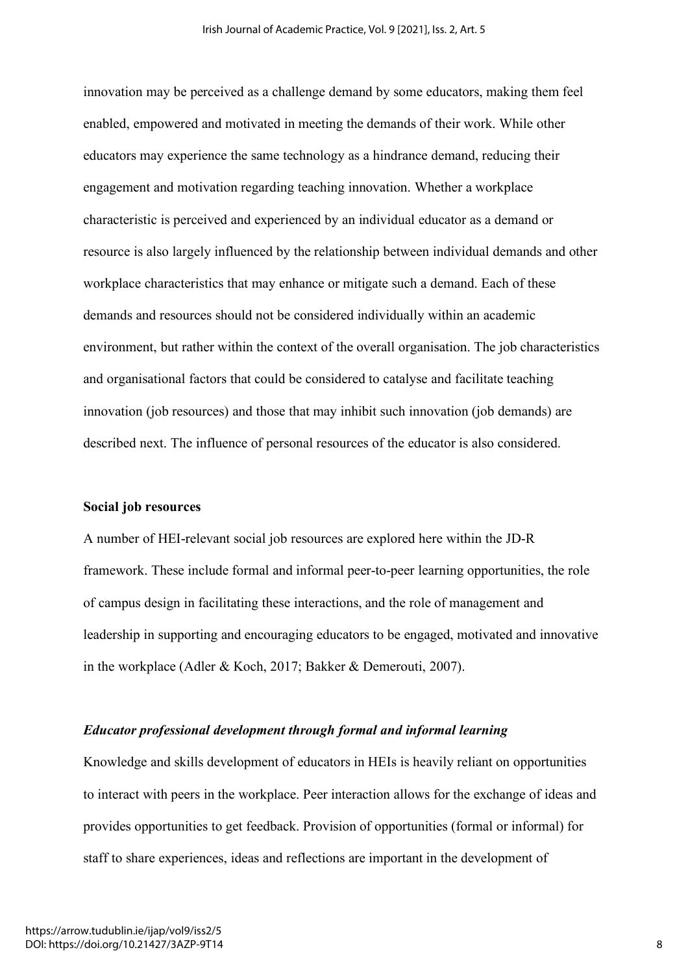innovation may be perceived as a challenge demand by some educators, making them feel enabled, empowered and motivated in meeting the demands of their work. While other educators may experience the same technology as a hindrance demand, reducing their engagement and motivation regarding teaching innovation. Whether a workplace characteristic is perceived and experienced by an individual educator as a demand or resource is also largely influenced by the relationship between individual demands and other workplace characteristics that may enhance or mitigate such a demand. Each of these demands and resources should not be considered individually within an academic environment, but rather within the context of the overall organisation. The job characteristics and organisational factors that could be considered to catalyse and facilitate teaching innovation (job resources) and those that may inhibit such innovation (job demands) are described next. The influence of personal resources of the educator is also considered.

#### **Social job resources**

A number of HEI-relevant social job resources are explored here within the JD-R framework. These include formal and informal peer-to-peer learning opportunities, the role of campus design in facilitating these interactions, and the role of management and leadership in supporting and encouraging educators to be engaged, motivated and innovative in the workplace (Adler & Koch, 2017; Bakker & Demerouti, 2007).

#### *Educator professional development through formal and informal learning*

Knowledge and skills development of educators in HEIs is heavily reliant on opportunities to interact with peers in the workplace. Peer interaction allows for the exchange of ideas and provides opportunities to get feedback. Provision of opportunities (formal or informal) for staff to share experiences, ideas and reflections are important in the development of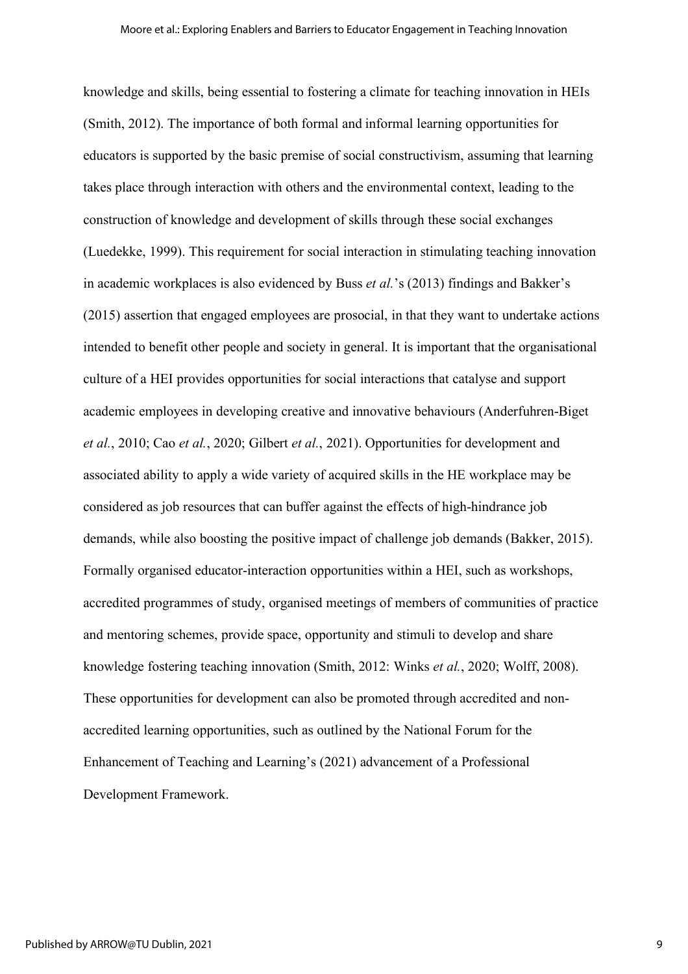knowledge and skills, being essential to fostering a climate for teaching innovation in HEIs (Smith, 2012). The importance of both formal and informal learning opportunities for educators is supported by the basic premise of social constructivism, assuming that learning takes place through interaction with others and the environmental context, leading to the construction of knowledge and development of skills through these social exchanges (Luedekke, 1999). This requirement for social interaction in stimulating teaching innovation in academic workplaces is also evidenced by Buss *et al.*'s (2013) findings and Bakker's (2015) assertion that engaged employees are prosocial, in that they want to undertake actions intended to benefit other people and society in general. It is important that the organisational culture of a HEI provides opportunities for social interactions that catalyse and support academic employees in developing creative and innovative behaviours (Anderfuhren-Biget *et al.*, 2010; Cao *et al.*, 2020; Gilbert *et al.*, 2021). Opportunities for development and associated ability to apply a wide variety of acquired skills in the HE workplace may be considered as job resources that can buffer against the effects of high-hindrance job demands, while also boosting the positive impact of challenge job demands (Bakker, 2015). Formally organised educator-interaction opportunities within a HEI, such as workshops, accredited programmes of study, organised meetings of members of communities of practice and mentoring schemes, provide space, opportunity and stimuli to develop and share knowledge fostering teaching innovation (Smith, 2012: Winks *et al.*, 2020; Wolff, 2008). These opportunities for development can also be promoted through accredited and nonaccredited learning opportunities, such as outlined by the National Forum for the Enhancement of Teaching and Learning's (2021) advancement of a Professional Development Framework.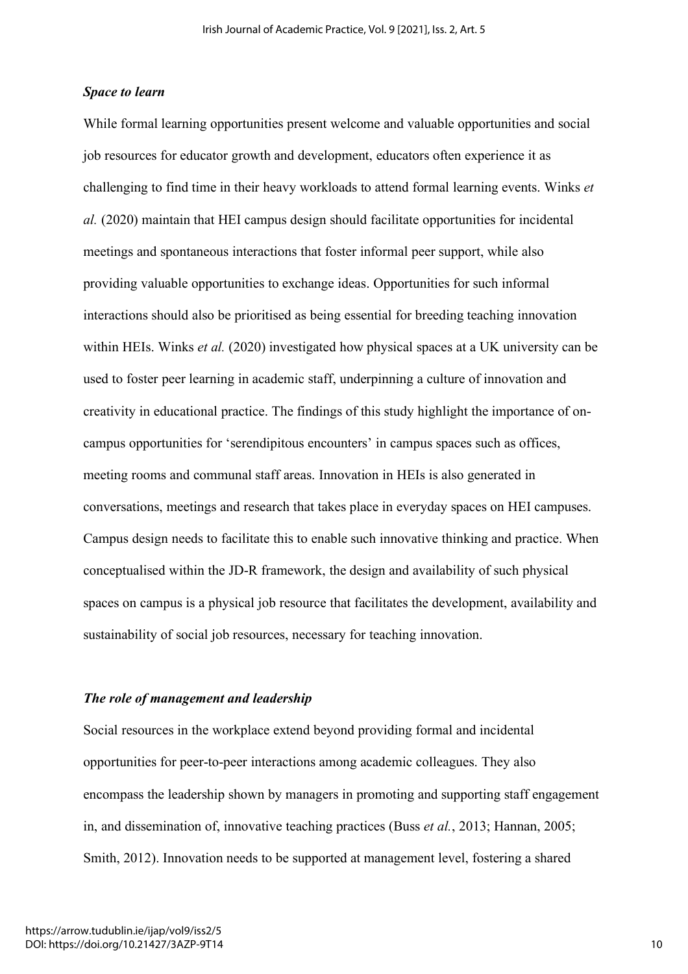#### *Space to learn*

While formal learning opportunities present welcome and valuable opportunities and social job resources for educator growth and development, educators often experience it as challenging to find time in their heavy workloads to attend formal learning events. Winks *et al.* (2020) maintain that HEI campus design should facilitate opportunities for incidental meetings and spontaneous interactions that foster informal peer support, while also providing valuable opportunities to exchange ideas. Opportunities for such informal interactions should also be prioritised as being essential for breeding teaching innovation within HEIs. Winks *et al.* (2020) investigated how physical spaces at a UK university can be used to foster peer learning in academic staff, underpinning a culture of innovation and creativity in educational practice. The findings of this study highlight the importance of oncampus opportunities for 'serendipitous encounters' in campus spaces such as offices, meeting rooms and communal staff areas. Innovation in HEIs is also generated in conversations, meetings and research that takes place in everyday spaces on HEI campuses. Campus design needs to facilitate this to enable such innovative thinking and practice. When conceptualised within the JD-R framework, the design and availability of such physical spaces on campus is a physical job resource that facilitates the development, availability and sustainability of social job resources, necessary for teaching innovation.

### *The role of management and leadership*

Social resources in the workplace extend beyond providing formal and incidental opportunities for peer-to-peer interactions among academic colleagues. They also encompass the leadership shown by managers in promoting and supporting staff engagement in, and dissemination of, innovative teaching practices (Buss *et al.*, 2013; Hannan, 2005; Smith, 2012). Innovation needs to be supported at management level, fostering a shared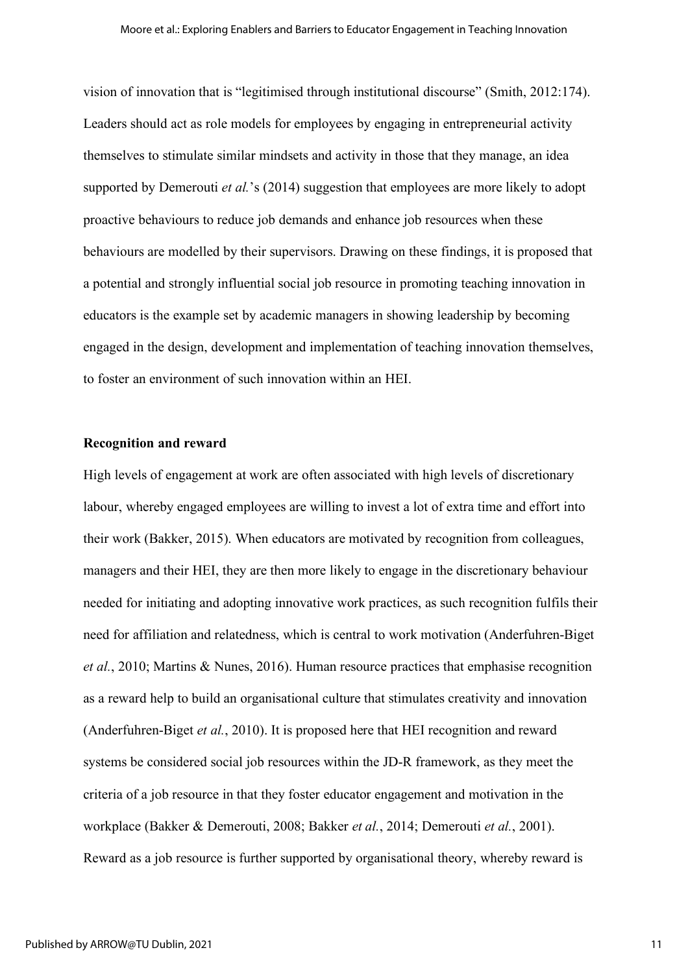vision of innovation that is "legitimised through institutional discourse" (Smith, 2012:174). Leaders should act as role models for employees by engaging in entrepreneurial activity themselves to stimulate similar mindsets and activity in those that they manage, an idea supported by Demerouti *et al.*'s (2014) suggestion that employees are more likely to adopt proactive behaviours to reduce job demands and enhance job resources when these behaviours are modelled by their supervisors. Drawing on these findings, it is proposed that a potential and strongly influential social job resource in promoting teaching innovation in educators is the example set by academic managers in showing leadership by becoming engaged in the design, development and implementation of teaching innovation themselves, to foster an environment of such innovation within an HEI.

#### **Recognition and reward**

High levels of engagement at work are often associated with high levels of discretionary labour, whereby engaged employees are willing to invest a lot of extra time and effort into their work (Bakker, 2015). When educators are motivated by recognition from colleagues, managers and their HEI, they are then more likely to engage in the discretionary behaviour needed for initiating and adopting innovative work practices, as such recognition fulfils their need for affiliation and relatedness, which is central to work motivation (Anderfuhren-Biget *et al.*, 2010; Martins & Nunes, 2016). Human resource practices that emphasise recognition as a reward help to build an organisational culture that stimulates creativity and innovation (Anderfuhren-Biget *et al.*, 2010). It is proposed here that HEI recognition and reward systems be considered social job resources within the JD-R framework, as they meet the criteria of a job resource in that they foster educator engagement and motivation in the workplace (Bakker & Demerouti, 2008; Bakker *et al.*, 2014; Demerouti *et al.*, 2001). Reward as a job resource is further supported by organisational theory, whereby reward is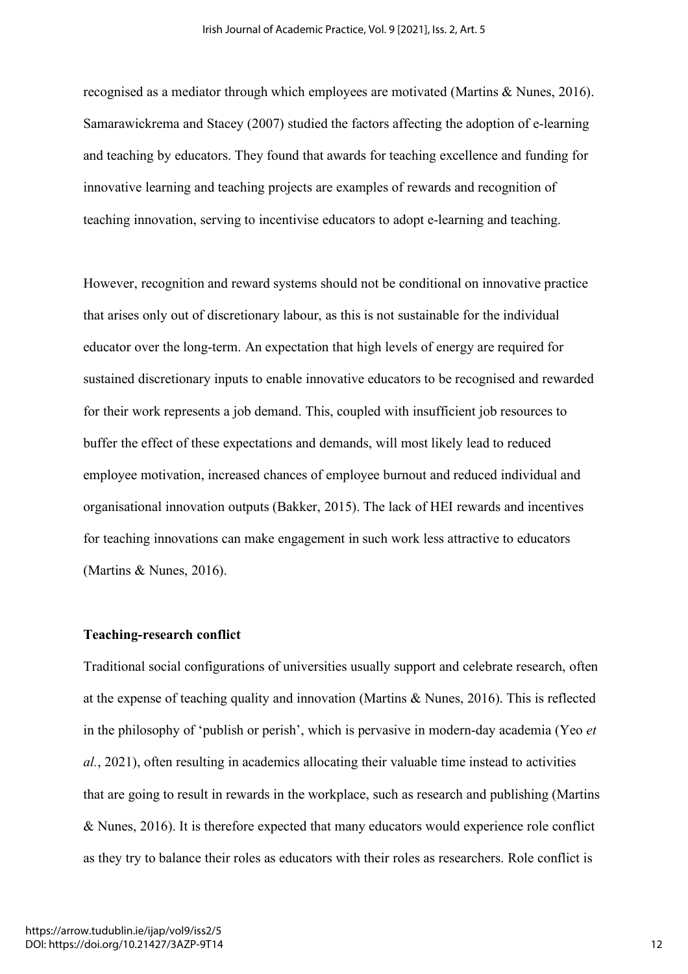recognised as a mediator through which employees are motivated (Martins & Nunes, 2016). Samarawickrema and Stacey (2007) studied the factors affecting the adoption of e-learning and teaching by educators. They found that awards for teaching excellence and funding for innovative learning and teaching projects are examples of rewards and recognition of teaching innovation, serving to incentivise educators to adopt e-learning and teaching.

However, recognition and reward systems should not be conditional on innovative practice that arises only out of discretionary labour, as this is not sustainable for the individual educator over the long-term. An expectation that high levels of energy are required for sustained discretionary inputs to enable innovative educators to be recognised and rewarded for their work represents a job demand. This, coupled with insufficient job resources to buffer the effect of these expectations and demands, will most likely lead to reduced employee motivation, increased chances of employee burnout and reduced individual and organisational innovation outputs (Bakker, 2015). The lack of HEI rewards and incentives for teaching innovations can make engagement in such work less attractive to educators (Martins & Nunes, 2016).

#### **Teaching-research conflict**

Traditional social configurations of universities usually support and celebrate research, often at the expense of teaching quality and innovation (Martins & Nunes, 2016). This is reflected in the philosophy of 'publish or perish', which is pervasive in modern-day academia (Yeo *et al.*, 2021), often resulting in academics allocating their valuable time instead to activities that are going to result in rewards in the workplace, such as research and publishing (Martins & Nunes, 2016). It is therefore expected that many educators would experience role conflict as they try to balance their roles as educators with their roles as researchers. Role conflict is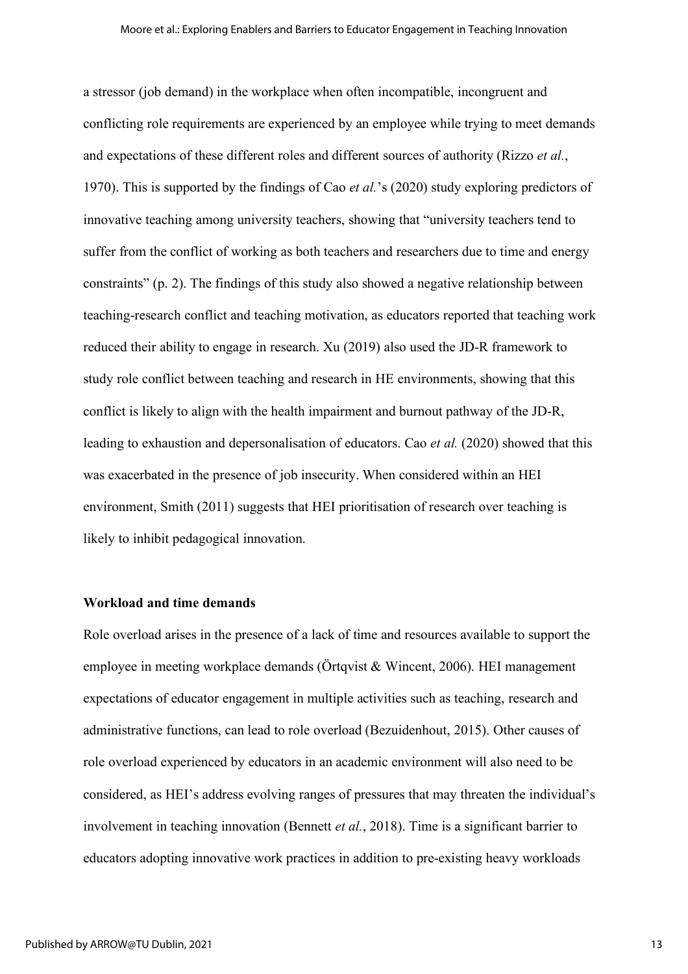a stressor (job demand) in the workplace when often incompatible, incongruent and conflicting role requirements are experienced by an employee while trying to meet demands and expectations of these different roles and different sources of authority (Rizzo *et al.*, 1970). This is supported by the findings of Cao *et al.*'s (2020) study exploring predictors of innovative teaching among university teachers, showing that "university teachers tend to suffer from the conflict of working as both teachers and researchers due to time and energy constraints" (p. 2). The findings of this study also showed a negative relationship between teaching-research conflict and teaching motivation, as educators reported that teaching work reduced their ability to engage in research. Xu (2019) also used the JD-R framework to study role conflict between teaching and research in HE environments, showing that this conflict is likely to align with the health impairment and burnout pathway of the JD-R, leading to exhaustion and depersonalisation of educators. Cao *et al.* (2020) showed that this was exacerbated in the presence of job insecurity. When considered within an HEI environment, Smith (2011) suggests that HEI prioritisation of research over teaching is likely to inhibit pedagogical innovation.

## **Workload and time demands**

Role overload arises in the presence of a lack of time and resources available to support the employee in meeting workplace demands (Örtqvist & Wincent, 2006). HEI management expectations of educator engagement in multiple activities such as teaching, research and administrative functions, can lead to role overload (Bezuidenhout, 2015). Other causes of role overload experienced by educators in an academic environment will also need to be considered, as HEI's address evolving ranges of pressures that may threaten the individual's involvement in teaching innovation (Bennett *et al.*, 2018). Time is a significant barrier to educators adopting innovative work practices in addition to pre-existing heavy workloads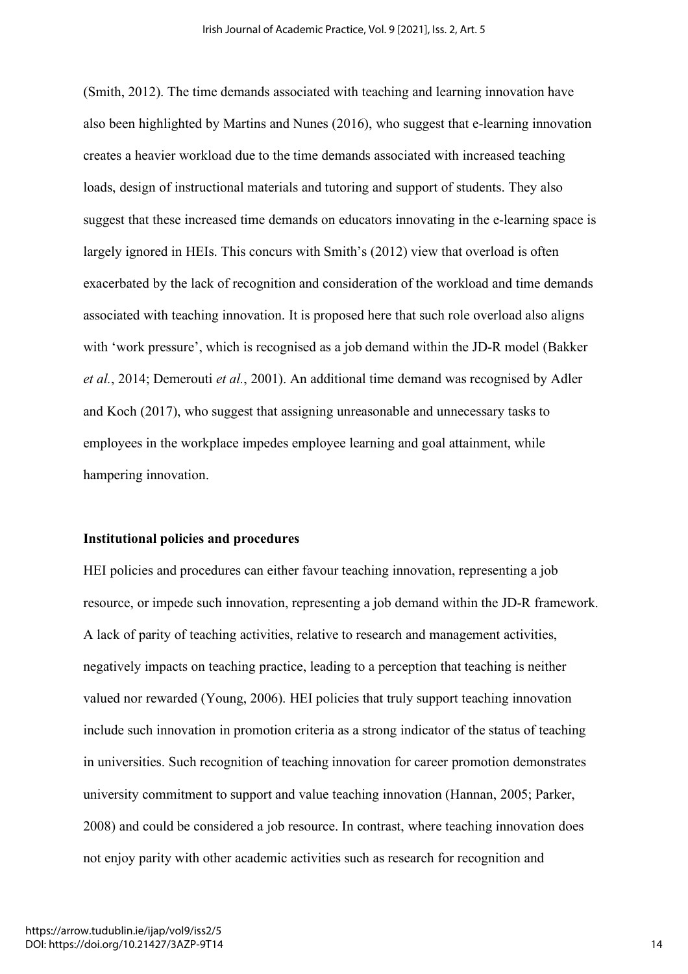(Smith, 2012). The time demands associated with teaching and learning innovation have also been highlighted by Martins and Nunes (2016), who suggest that e-learning innovation creates a heavier workload due to the time demands associated with increased teaching loads, design of instructional materials and tutoring and support of students. They also suggest that these increased time demands on educators innovating in the e-learning space is largely ignored in HEIs. This concurs with Smith's (2012) view that overload is often exacerbated by the lack of recognition and consideration of the workload and time demands associated with teaching innovation. It is proposed here that such role overload also aligns with 'work pressure', which is recognised as a job demand within the JD-R model (Bakker *et al.*, 2014; Demerouti *et al.*, 2001). An additional time demand was recognised by Adler and Koch (2017), who suggest that assigning unreasonable and unnecessary tasks to employees in the workplace impedes employee learning and goal attainment, while hampering innovation.

#### **Institutional policies and procedures**

HEI policies and procedures can either favour teaching innovation, representing a job resource, or impede such innovation, representing a job demand within the JD-R framework. A lack of parity of teaching activities, relative to research and management activities, negatively impacts on teaching practice, leading to a perception that teaching is neither valued nor rewarded (Young, 2006). HEI policies that truly support teaching innovation include such innovation in promotion criteria as a strong indicator of the status of teaching in universities. Such recognition of teaching innovation for career promotion demonstrates university commitment to support and value teaching innovation (Hannan, 2005; Parker, 2008) and could be considered a job resource. In contrast, where teaching innovation does not enjoy parity with other academic activities such as research for recognition and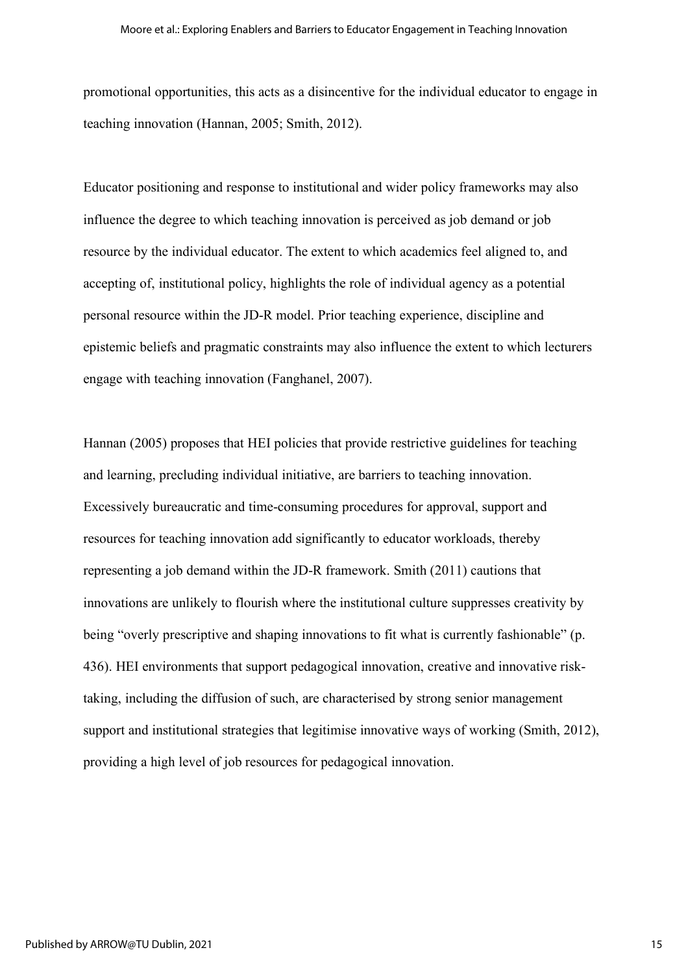promotional opportunities, this acts as a disincentive for the individual educator to engage in teaching innovation (Hannan, 2005; Smith, 2012).

Educator positioning and response to institutional and wider policy frameworks may also influence the degree to which teaching innovation is perceived as job demand or job resource by the individual educator. The extent to which academics feel aligned to, and accepting of, institutional policy, highlights the role of individual agency as a potential personal resource within the JD-R model. Prior teaching experience, discipline and epistemic beliefs and pragmatic constraints may also influence the extent to which lecturers engage with teaching innovation (Fanghanel, 2007).

Hannan (2005) proposes that HEI policies that provide restrictive guidelines for teaching and learning, precluding individual initiative, are barriers to teaching innovation. Excessively bureaucratic and time-consuming procedures for approval, support and resources for teaching innovation add significantly to educator workloads, thereby representing a job demand within the JD-R framework. Smith (2011) cautions that innovations are unlikely to flourish where the institutional culture suppresses creativity by being "overly prescriptive and shaping innovations to fit what is currently fashionable" (p. 436). HEI environments that support pedagogical innovation, creative and innovative risktaking, including the diffusion of such, are characterised by strong senior management support and institutional strategies that legitimise innovative ways of working (Smith, 2012), providing a high level of job resources for pedagogical innovation.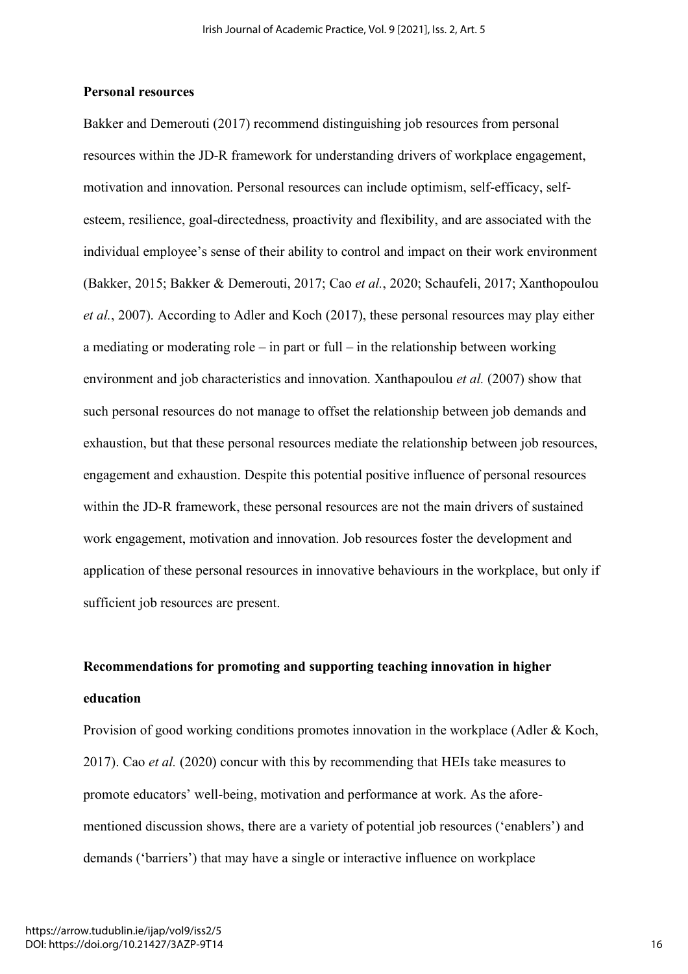#### **Personal resources**

Bakker and Demerouti (2017) recommend distinguishing job resources from personal resources within the JD-R framework for understanding drivers of workplace engagement, motivation and innovation. Personal resources can include optimism, self-efficacy, selfesteem, resilience, goal-directedness, proactivity and flexibility, and are associated with the individual employee's sense of their ability to control and impact on their work environment (Bakker, 2015; Bakker & Demerouti, 2017; Cao *et al.*, 2020; Schaufeli, 2017; Xanthopoulou *et al.*, 2007). According to Adler and Koch (2017), these personal resources may play either a mediating or moderating role – in part or full – in the relationship between working environment and job characteristics and innovation. Xanthapoulou *et al.* (2007) show that such personal resources do not manage to offset the relationship between job demands and exhaustion, but that these personal resources mediate the relationship between job resources, engagement and exhaustion. Despite this potential positive influence of personal resources within the JD-R framework, these personal resources are not the main drivers of sustained work engagement, motivation and innovation. Job resources foster the development and application of these personal resources in innovative behaviours in the workplace, but only if sufficient job resources are present.

# **Recommendations for promoting and supporting teaching innovation in higher education**

Provision of good working conditions promotes innovation in the workplace (Adler & Koch, 2017). Cao *et al.* (2020) concur with this by recommending that HEIs take measures to promote educators' well-being, motivation and performance at work. As the aforementioned discussion shows, there are a variety of potential job resources ('enablers') and demands ('barriers') that may have a single or interactive influence on workplace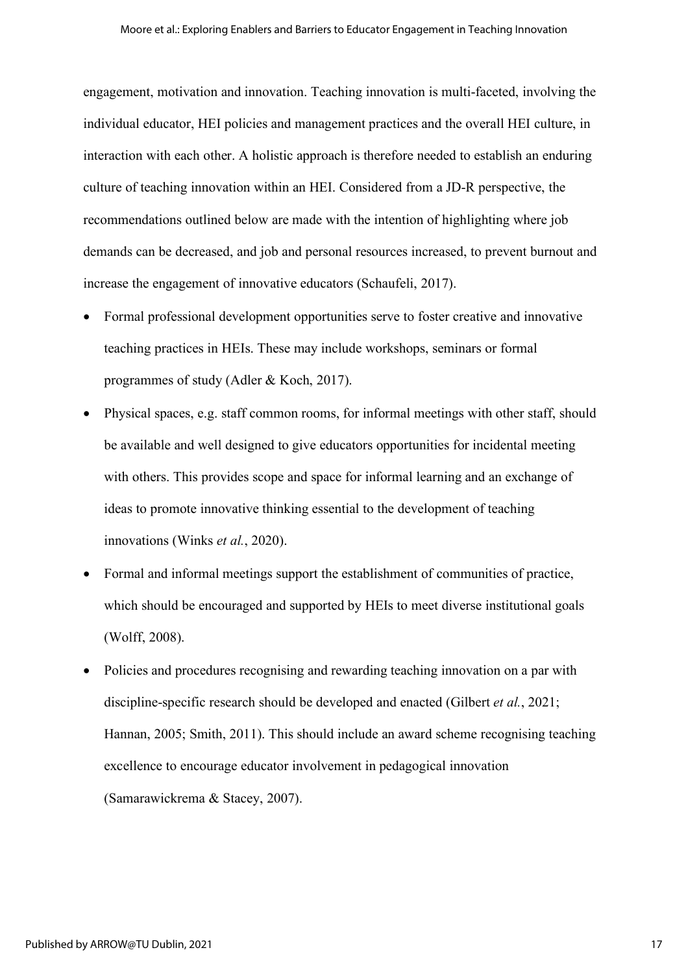engagement, motivation and innovation. Teaching innovation is multi-faceted, involving the individual educator, HEI policies and management practices and the overall HEI culture, in interaction with each other. A holistic approach is therefore needed to establish an enduring culture of teaching innovation within an HEI. Considered from a JD-R perspective, the recommendations outlined below are made with the intention of highlighting where job demands can be decreased, and job and personal resources increased, to prevent burnout and increase the engagement of innovative educators (Schaufeli, 2017).

- Formal professional development opportunities serve to foster creative and innovative teaching practices in HEIs. These may include workshops, seminars or formal programmes of study (Adler & Koch, 2017).
- Physical spaces, e.g. staff common rooms, for informal meetings with other staff, should be available and well designed to give educators opportunities for incidental meeting with others. This provides scope and space for informal learning and an exchange of ideas to promote innovative thinking essential to the development of teaching innovations (Winks *et al.*, 2020).
- Formal and informal meetings support the establishment of communities of practice, which should be encouraged and supported by HEIs to meet diverse institutional goals (Wolff, 2008).
- Policies and procedures recognising and rewarding teaching innovation on a par with discipline-specific research should be developed and enacted (Gilbert *et al.*, 2021; Hannan, 2005; Smith, 2011). This should include an award scheme recognising teaching excellence to encourage educator involvement in pedagogical innovation (Samarawickrema & Stacey, 2007).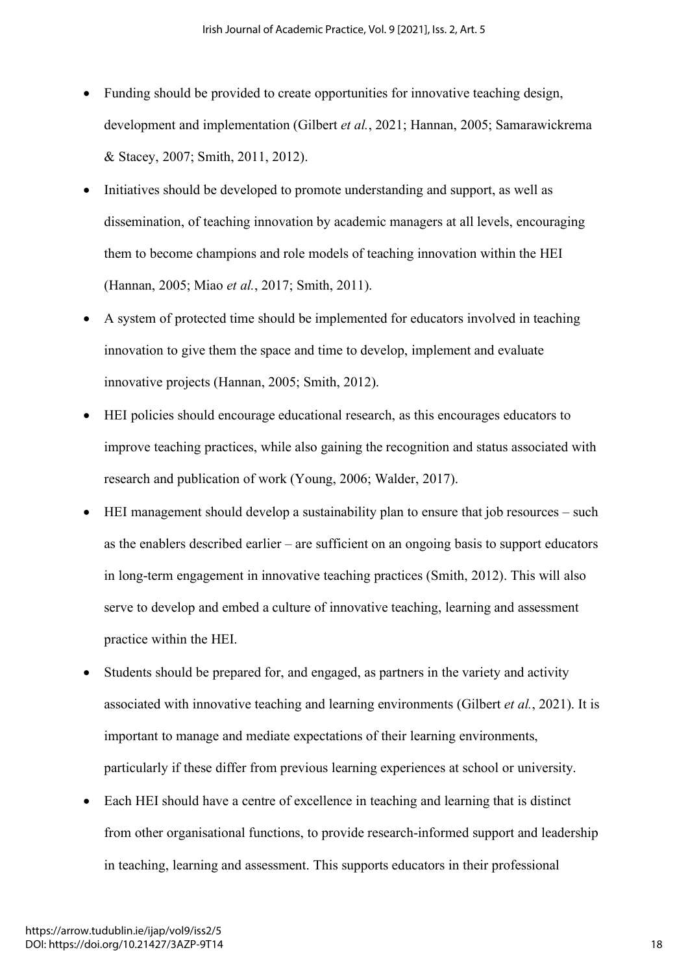- Funding should be provided to create opportunities for innovative teaching design, development and implementation (Gilbert *et al.*, 2021; Hannan, 2005; Samarawickrema & Stacey, 2007; Smith, 2011, 2012).
- Initiatives should be developed to promote understanding and support, as well as dissemination, of teaching innovation by academic managers at all levels, encouraging them to become champions and role models of teaching innovation within the HEI (Hannan, 2005; Miao *et al.*, 2017; Smith, 2011).
- A system of protected time should be implemented for educators involved in teaching innovation to give them the space and time to develop, implement and evaluate innovative projects (Hannan, 2005; Smith, 2012).
- HEI policies should encourage educational research, as this encourages educators to improve teaching practices, while also gaining the recognition and status associated with research and publication of work (Young, 2006; Walder, 2017).
- HEI management should develop a sustainability plan to ensure that job resources such as the enablers described earlier – are sufficient on an ongoing basis to support educators in long-term engagement in innovative teaching practices (Smith, 2012). This will also serve to develop and embed a culture of innovative teaching, learning and assessment practice within the HEI.
- Students should be prepared for, and engaged, as partners in the variety and activity associated with innovative teaching and learning environments (Gilbert *et al.*, 2021). It is important to manage and mediate expectations of their learning environments, particularly if these differ from previous learning experiences at school or university.
- Each HEI should have a centre of excellence in teaching and learning that is distinct from other organisational functions, to provide research-informed support and leadership in teaching, learning and assessment. This supports educators in their professional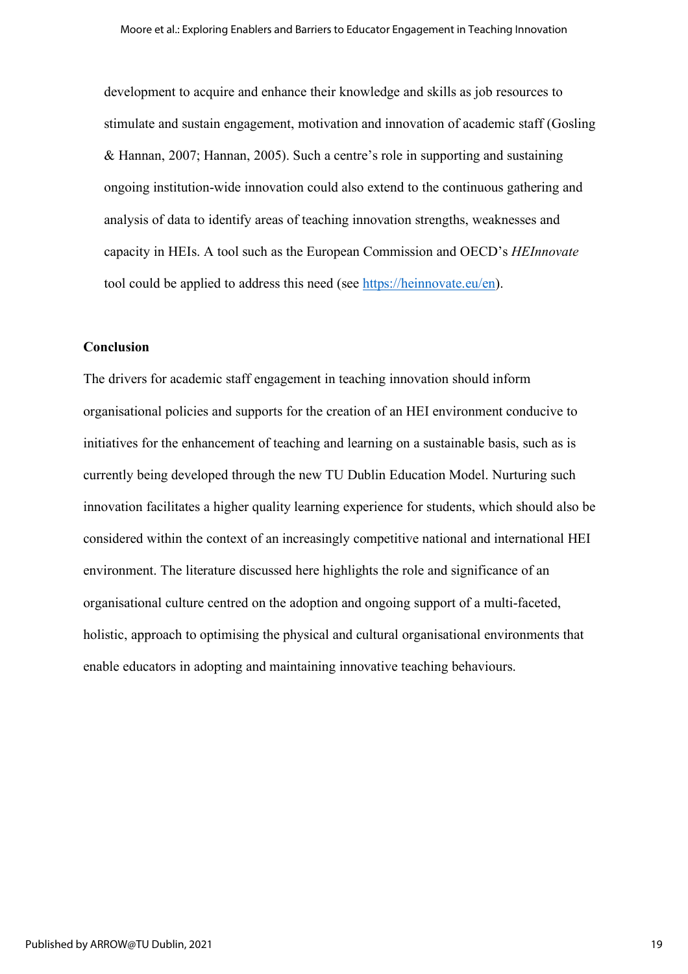development to acquire and enhance their knowledge and skills as job resources to stimulate and sustain engagement, motivation and innovation of academic staff (Gosling & Hannan, 2007; Hannan, 2005). Such a centre's role in supporting and sustaining ongoing institution-wide innovation could also extend to the continuous gathering and analysis of data to identify areas of teaching innovation strengths, weaknesses and capacity in HEIs. A tool such as the European Commission and OECD's *HEInnovate* tool could be applied to address this need (see https://heinnovate.eu/en).

# **Conclusion**

The drivers for academic staff engagement in teaching innovation should inform organisational policies and supports for the creation of an HEI environment conducive to initiatives for the enhancement of teaching and learning on a sustainable basis, such as is currently being developed through the new TU Dublin Education Model. Nurturing such innovation facilitates a higher quality learning experience for students, which should also be considered within the context of an increasingly competitive national and international HEI environment. The literature discussed here highlights the role and significance of an organisational culture centred on the adoption and ongoing support of a multi-faceted, holistic, approach to optimising the physical and cultural organisational environments that enable educators in adopting and maintaining innovative teaching behaviours.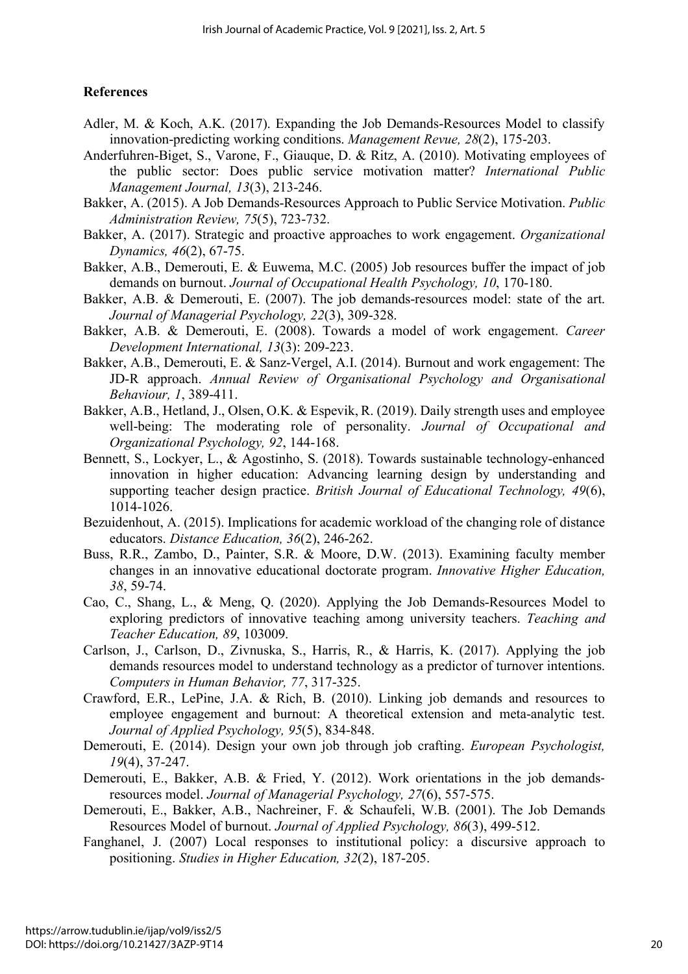# **References**

- Adler, M. & Koch, A.K. (2017). Expanding the Job Demands-Resources Model to classify innovation-predicting working conditions. *Management Revue, 28*(2), 175-203.
- Anderfuhren-Biget, S., Varone, F., Giauque, D. & Ritz, A. (2010). Motivating employees of the public sector: Does public service motivation matter? *International Public Management Journal, 13*(3), 213-246.
- Bakker, A. (2015). A Job Demands-Resources Approach to Public Service Motivation. *Public Administration Review, 75*(5), 723-732.
- Bakker, A. (2017). Strategic and proactive approaches to work engagement. *Organizational Dynamics, 46*(2), 67-75.
- Bakker, A.B., Demerouti, E. & Euwema, M.C. (2005) Job resources buffer the impact of job demands on burnout. *Journal of Occupational Health Psychology, 10*, 170-180.
- Bakker, A.B. & Demerouti, E. (2007). The job demands-resources model: state of the art. *Journal of Managerial Psychology, 22*(3), 309-328.
- Bakker, A.B. & Demerouti, E. (2008). Towards a model of work engagement. *Career Development International, 13*(3): 209-223.
- Bakker, A.B., Demerouti, E. & Sanz-Vergel, A.I. (2014). Burnout and work engagement: The JD-R approach. *Annual Review of Organisational Psychology and Organisational Behaviour, 1*, 389-411.
- Bakker, A.B., Hetland, J., Olsen, O.K. & Espevik, R. (2019). Daily strength uses and employee well-being: The moderating role of personality. *Journal of Occupational and Organizational Psychology, 92*, 144-168.
- Bennett, S., Lockyer, L., & Agostinho, S. (2018). Towards sustainable technology-enhanced innovation in higher education: Advancing learning design by understanding and supporting teacher design practice. *British Journal of Educational Technology, 49*(6), 1014-1026.
- Bezuidenhout, A. (2015). Implications for academic workload of the changing role of distance educators. *Distance Education, 36*(2), 246-262.
- Buss, R.R., Zambo, D., Painter, S.R. & Moore, D.W. (2013). Examining faculty member changes in an innovative educational doctorate program. *Innovative Higher Education, 38*, 59-74.
- Cao, C., Shang, L., & Meng, Q. (2020). Applying the Job Demands-Resources Model to exploring predictors of innovative teaching among university teachers. *Teaching and Teacher Education, 89*, 103009.
- Carlson, J., Carlson, D., Zivnuska, S., Harris, R., & Harris, K. (2017). Applying the job demands resources model to understand technology as a predictor of turnover intentions. *Computers in Human Behavior, 77*, 317-325.
- Crawford, E.R., LePine, J.A. & Rich, B. (2010). Linking job demands and resources to employee engagement and burnout: A theoretical extension and meta-analytic test. *Journal of Applied Psychology, 95*(5), 834-848.
- Demerouti, E. (2014). Design your own job through job crafting. *European Psychologist, 19*(4), 37-247.
- Demerouti, E., Bakker, A.B. & Fried, Y. (2012). Work orientations in the job demandsresources model. *Journal of Managerial Psychology, 27*(6), 557-575.
- Demerouti, E., Bakker, A.B., Nachreiner, F. & Schaufeli, W.B. (2001). The Job Demands Resources Model of burnout. *Journal of Applied Psychology, 86*(3), 499-512.
- Fanghanel, J. (2007) Local responses to institutional policy: a discursive approach to positioning. *Studies in Higher Education, 32*(2), 187-205.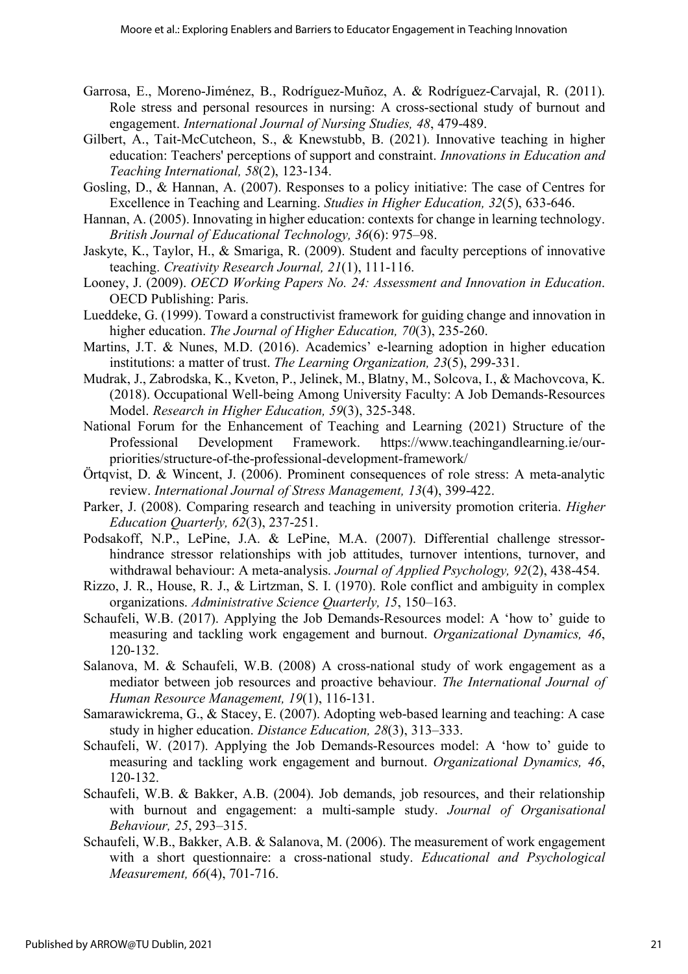- Garrosa, E., Moreno-Jiménez, B., Rodríguez-Muñoz, A. & Rodríguez-Carvajal, R. (2011). Role stress and personal resources in nursing: A cross-sectional study of burnout and engagement. *International Journal of Nursing Studies, 48*, 479-489.
- Gilbert, A., Tait-McCutcheon, S., & Knewstubb, B. (2021). Innovative teaching in higher education: Teachers' perceptions of support and constraint. *Innovations in Education and Teaching International, 58*(2), 123-134.
- Gosling, D., & Hannan, A. (2007). Responses to a policy initiative: The case of Centres for Excellence in Teaching and Learning. *Studies in Higher Education, 32*(5), 633-646.
- Hannan, A. (2005). Innovating in higher education: contexts for change in learning technology. *British Journal of Educational Technology, 36*(6): 975–98.
- Jaskyte, K., Taylor, H., & Smariga, R. (2009). Student and faculty perceptions of innovative teaching. *Creativity Research Journal, 21*(1), 111-116.
- Looney, J. (2009). *OECD Working Papers No. 24: Assessment and Innovation in Education*. OECD Publishing: Paris.
- Lueddeke, G. (1999). Toward a constructivist framework for guiding change and innovation in higher education. *The Journal of Higher Education, 70*(3), 235-260.
- Martins, J.T. & Nunes, M.D. (2016). Academics' e-learning adoption in higher education institutions: a matter of trust. *The Learning Organization, 23*(5), 299-331.
- Mudrak, J., Zabrodska, K., Kveton, P., Jelinek, M., Blatny, M., Solcova, I., & Machovcova, K. (2018). Occupational Well-being Among University Faculty: A Job Demands-Resources Model. *Research in Higher Education, 59*(3), 325-348.
- National Forum for the Enhancement of Teaching and Learning (2021) Structure of the Professional Development Framework. https://www.teachingandlearning.ie/ourpriorities/structure-of-the-professional-development-framework/
- Örtqvist, D. & Wincent, J. (2006). Prominent consequences of role stress: A meta-analytic review. *International Journal of Stress Management, 13*(4), 399-422.
- Parker, J. (2008). Comparing research and teaching in university promotion criteria. *Higher Education Quarterly, 62*(3), 237-251.
- Podsakoff, N.P., LePine, J.A. & LePine, M.A. (2007). Differential challenge stressorhindrance stressor relationships with job attitudes, turnover intentions, turnover, and withdrawal behaviour: A meta-analysis. *Journal of Applied Psychology, 92*(2), 438-454.
- Rizzo, J. R., House, R. J., & Lirtzman, S. I. (1970). Role conflict and ambiguity in complex organizations. *Administrative Science Quarterly, 15*, 150–163.
- Schaufeli, W.B. (2017). Applying the Job Demands-Resources model: A 'how to' guide to measuring and tackling work engagement and burnout. *Organizational Dynamics, 46*, 120-132.
- Salanova, M. & Schaufeli, W.B. (2008) A cross-national study of work engagement as a mediator between job resources and proactive behaviour. *The International Journal of Human Resource Management, 19*(1), 116-131.
- Samarawickrema, G., & Stacey, E. (2007). Adopting web-based learning and teaching: A case study in higher education. *Distance Education, 28*(3), 313–333.
- Schaufeli, W. (2017). Applying the Job Demands-Resources model: A 'how to' guide to measuring and tackling work engagement and burnout. *Organizational Dynamics, 46*, 120-132.
- Schaufeli, W.B. & Bakker, A.B. (2004). Job demands, job resources, and their relationship with burnout and engagement: a multi-sample study. *Journal of Organisational Behaviour, 25*, 293–315.
- Schaufeli, W.B., Bakker, A.B. & Salanova, M. (2006). The measurement of work engagement with a short questionnaire: a cross-national study. *Educational and Psychological Measurement, 66*(4), 701-716.